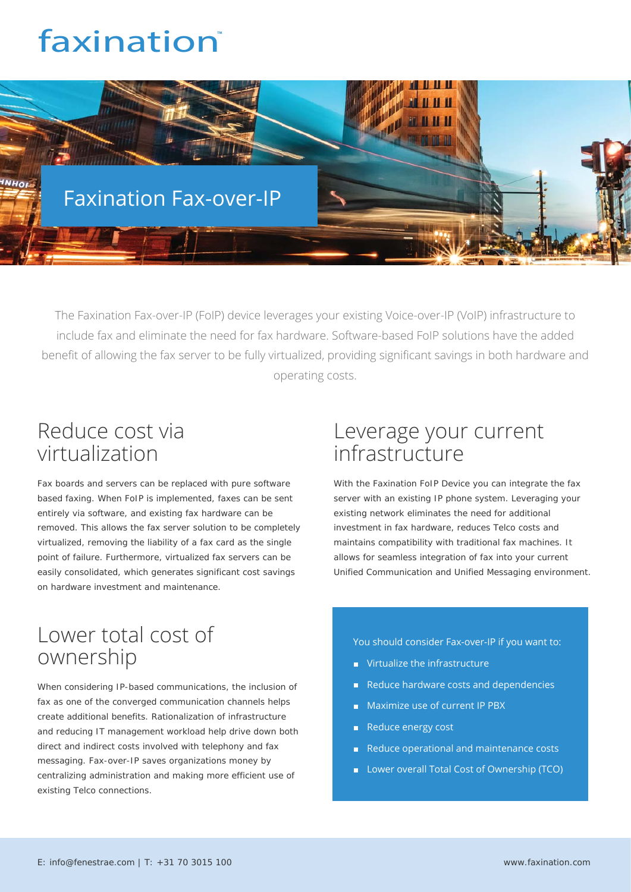# faxination<sup>®</sup>



The Faxination Fax-over-IP (FoIP) device leverages your existing Voice-over-IP (VoIP) infrastructure to include fax and eliminate the need for fax hardware. Software-based FoIP solutions have the added benefit of allowing the fax server to be fully virtualized, providing significant savings in both hardware and operating costs.

## Reduce cost via virtualization

Fax boards and servers can be replaced with pure software based faxing. When FoIP is implemented, faxes can be sent entirely via software, and existing fax hardware can be removed. This allows the fax server solution to be completely virtualized, removing the liability of a fax card as the single point of failure. Furthermore, virtualized fax servers can be easily consolidated, which generates significant cost savings on hardware investment and maintenance.

### Lower total cost of ownership

When considering IP-based communications, the inclusion of fax as one of the converged communication channels helps create additional benefits. Rationalization of infrastructure and reducing IT management workload help drive down both direct and indirect costs involved with telephony and fax messaging. Fax-over-IP saves organizations money by centralizing administration and making more efficient use of existing Telco connections.

### Leverage your current infrastructure

With the Faxination FoIP Device you can integrate the fax server with an existing IP phone system. Leveraging your existing network eliminates the need for additional investment in fax hardware, reduces Telco costs and maintains compatibility with traditional fax machines. It allows for seamless integration of fax into your current Unified Communication and Unified Messaging environment.

You should consider Fax-over-IP if you want to:

- **No.** Virtualize the infrastructure
- Reduce hardware costs and dependencies
- **Maximize use of current IP PBX**
- Reduce energy cost
- Reduce operational and maintenance costs
- **Lower overall Total Cost of Ownership (TCO)**